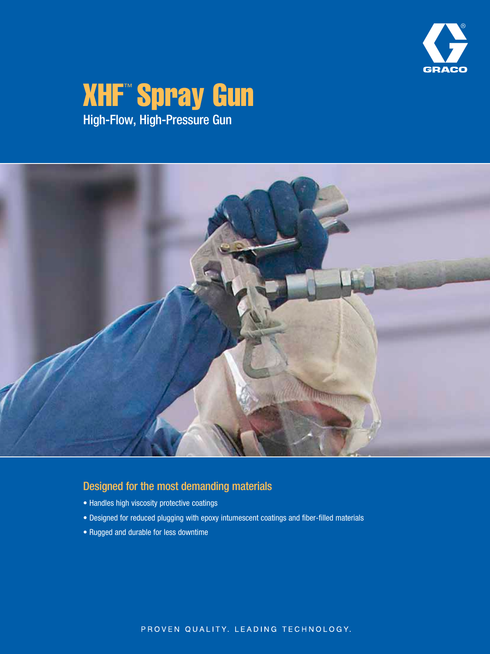

# **XHF™ Spray Gun** High-Flow, High-Pressure Gun



## Designed for the most demanding materials

- Handles high viscosity protective coatings
- Designed for reduced plugging with epoxy intumescent coatings and fiber-filled materials
- Rugged and durable for less downtime

PROVEN QUALITY. LEADING TECHNOLOGY.